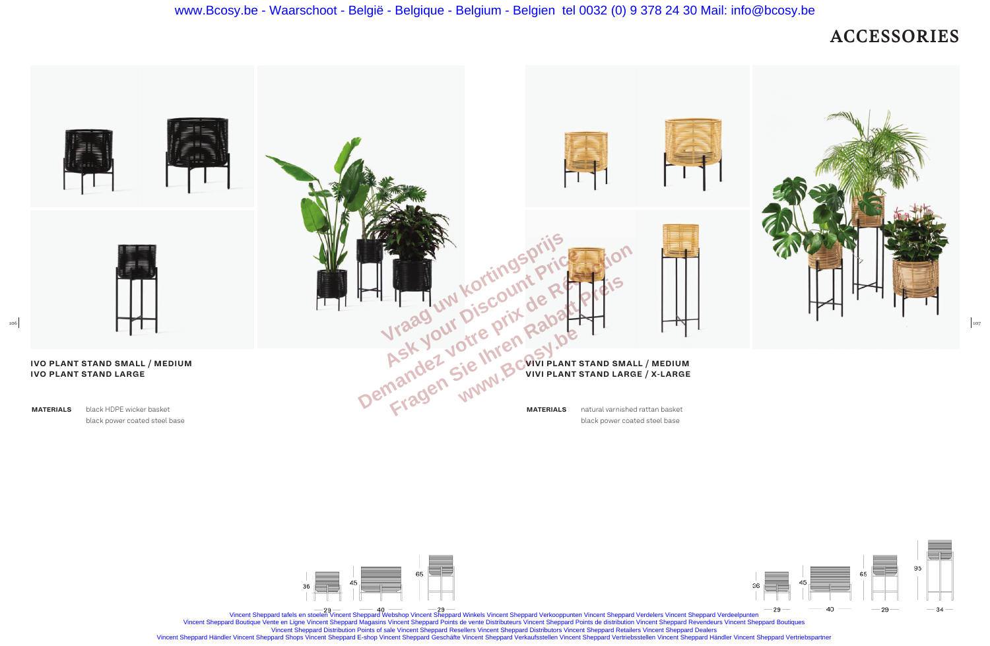black power coated steel base

black power coated steel base





# **ACCESSORIES**



Vincent Sheppard tafels [en stoelen Vincent Sheppard Webshop Vincent Sheppard Winkels Vincent Sheppard Verkooppunten Vincent Sheppard Verdelers Vincent S](https://www.bcosy.be/webshop/merken/vincent-sheppard-lloyd-loom-atelier-n7-furniture-meubelen-mobilier-webshop-boutique-vente-en-ligne-catalogus-catalogue-vincentsheppard/)heppard Verdeelpunten Vinc[ent Sheppard Boutique Vente en Ligne Vincent Sheppard Magasins Vincent Sheppard Points de vente Distributeurs Vincent Sheppard Points de distribution Vincent Sheppard Revendeurs Vincent Sheppard Boutiq](https://www.bcosy.be/webshop/merken/vincent-sheppard-lloyd-loom-atelier-n7-furniture-meubelen-mobilier-webshop-boutique-vente-en-ligne-catalogus-catalogue-vincentsheppard/)ues Vincent Sheppard Distribution Points of sale Vincent Sheppard Resellers Vincent Sheppard Distributors Vincent Sheppard Retailers Vincent Sheppard Dealers [Vincent Sheppard Händler Vincent Sheppard Shops Vincent Sheppard E-shop Vincent Sheppard Geschäfte Vincent Sheppard Verkaufsstellen Vincent Sheppard Vertriebsstellen Vincent Sheppard Händler Vincent Sheppard Vertriebspartner](https://www.bcosy.be/webshop/merken/vincent-sheppard-lloyd-loom-atelier-n7-furniture-meubelen-mobilier-webshop-boutique-vente-en-ligne-catalogus-catalogue-vincentsheppard/)